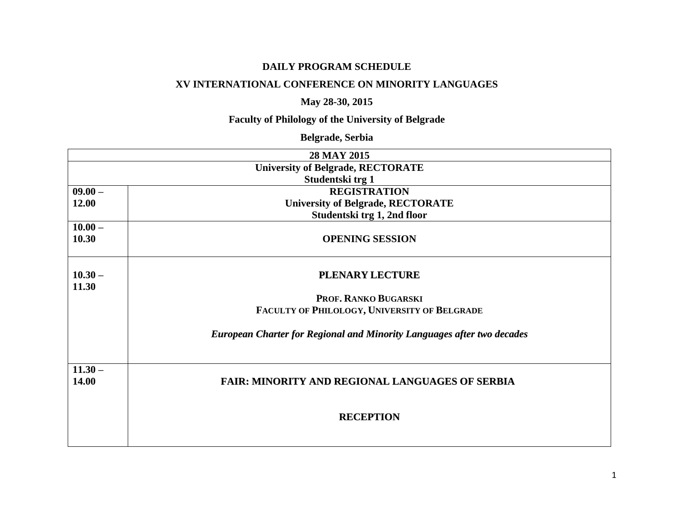### **DAILY PROGRAM SCHEDULE**

### **XV INTERNATIONAL CONFERENCE ON MINORITY LANGUAGES**

# **May 28-30, 2015**

# **Faculty of Philology of the University of Belgrade**

# **Belgrade, Serbia**

|           | 28 MAY 2015                                                                   |
|-----------|-------------------------------------------------------------------------------|
|           | <b>University of Belgrade, RECTORATE</b>                                      |
|           | Studentski trg 1                                                              |
| $09.00 -$ | <b>REGISTRATION</b>                                                           |
| 12.00     | <b>University of Belgrade, RECTORATE</b>                                      |
|           | Studentski trg 1, 2nd floor                                                   |
| $10.00 -$ |                                                                               |
| 10.30     | <b>OPENING SESSION</b>                                                        |
|           |                                                                               |
| $10.30 -$ | <b>PLENARY LECTURE</b>                                                        |
| 11.30     |                                                                               |
|           | PROF. RANKO BUGARSKI                                                          |
|           | FACULTY OF PHILOLOGY, UNIVERSITY OF BELGRADE                                  |
|           |                                                                               |
|           | <b>European Charter for Regional and Minority Languages after two decades</b> |
|           |                                                                               |
|           |                                                                               |
| $11.30 -$ |                                                                               |
| 14.00     | <b>FAIR: MINORITY AND REGIONAL LANGUAGES OF SERBIA</b>                        |
|           |                                                                               |
|           | <b>RECEPTION</b>                                                              |
|           |                                                                               |
|           |                                                                               |
|           |                                                                               |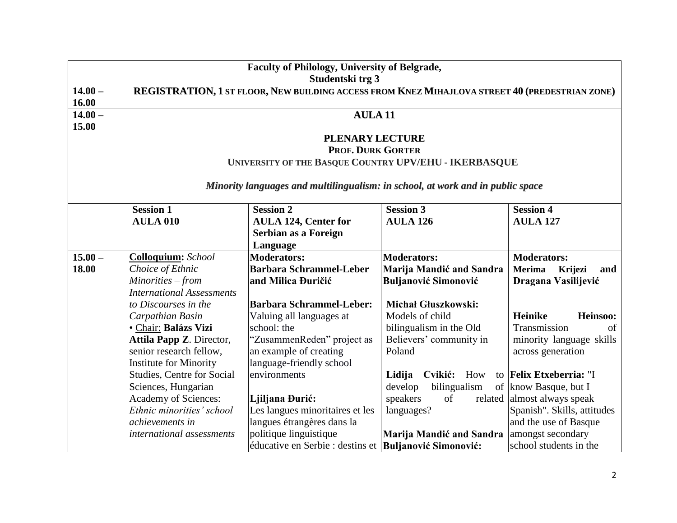|                  | <b>Faculty of Philology, University of Belgrade,</b>                                           |                                                                                |                             |                             |  |  |  |
|------------------|------------------------------------------------------------------------------------------------|--------------------------------------------------------------------------------|-----------------------------|-----------------------------|--|--|--|
| Studentski trg 3 |                                                                                                |                                                                                |                             |                             |  |  |  |
| $14.00 -$        | REGISTRATION, 1 ST FLOOR, NEW BUILDING ACCESS FROM KNEZ MIHAJLOVA STREET 40 (PREDESTRIAN ZONE) |                                                                                |                             |                             |  |  |  |
| 16.00            |                                                                                                |                                                                                |                             |                             |  |  |  |
| $14.00 -$        |                                                                                                | <b>AULA11</b>                                                                  |                             |                             |  |  |  |
| 15.00            |                                                                                                |                                                                                |                             |                             |  |  |  |
|                  |                                                                                                | <b>PLENARY LECTURE</b>                                                         |                             |                             |  |  |  |
|                  |                                                                                                | <b>PROF. DURK GORTER</b>                                                       |                             |                             |  |  |  |
|                  |                                                                                                | UNIVERSITY OF THE BASQUE COUNTRY UPV/EHU - IKERBASQUE                          |                             |                             |  |  |  |
|                  |                                                                                                | Minority languages and multilingualism: in school, at work and in public space |                             |                             |  |  |  |
|                  | <b>Session 1</b>                                                                               | <b>Session 2</b>                                                               | <b>Session 3</b>            | <b>Session 4</b>            |  |  |  |
|                  | <b>AULA 010</b>                                                                                | <b>AULA 124, Center for</b>                                                    | <b>AULA 126</b>             | <b>AULA 127</b>             |  |  |  |
|                  |                                                                                                | Serbian as a Foreign                                                           |                             |                             |  |  |  |
|                  |                                                                                                | Language                                                                       |                             |                             |  |  |  |
| $15.00 -$        | Colloquium: School                                                                             | <b>Moderators:</b>                                                             | Moderators:                 | <b>Moderators:</b>          |  |  |  |
| 18.00            | Choice of Ethnic                                                                               | <b>Barbara Schrammel-Leber</b>                                                 | Marija Mandić and Sandra    | Merima<br>Krijezi<br>and    |  |  |  |
|                  | Minorities – from                                                                              | and Milica Đuričić                                                             | <b>Buljanović Simonović</b> | Dragana Vasilijević         |  |  |  |
|                  | <b>International Assessments</b>                                                               |                                                                                |                             |                             |  |  |  |
|                  | to Discourses in the                                                                           | <b>Barbara Schrammel-Leber:</b>                                                | <b>Michał Głuszkowski:</b>  |                             |  |  |  |
|                  | Carpathian Basin                                                                               | Valuing all languages at                                                       | Models of child             | <b>Heinike</b><br>Heinsoo:  |  |  |  |
|                  | · Chair: Balázs Vizi                                                                           | school: the                                                                    | bilingualism in the Old     | Transmission<br>of          |  |  |  |
|                  | Attila Papp Z. Director,                                                                       | "ZusammenReden" project as                                                     | Believers' community in     | minority language skills    |  |  |  |
|                  | senior research fellow,                                                                        | an example of creating                                                         | Poland                      | across generation           |  |  |  |
|                  | <b>Institute for Minority</b>                                                                  | language-friendly school                                                       |                             |                             |  |  |  |
|                  | <b>Studies, Centre for Social</b>                                                              | environments                                                                   | Cvikić:<br>Lidija<br>How    | to Felix Etxeberria: "I     |  |  |  |
|                  | Sciences, Hungarian                                                                            |                                                                                | develop<br>bilingualism     | of know Basque, but I       |  |  |  |
|                  | Academy of Sciences:                                                                           | Ljiljana Đurić:                                                                | speakers<br>of              | related almost always speak |  |  |  |
|                  | Ethnic minorities' school                                                                      | Les langues minoritaires et les                                                | languages?                  | Spanish". Skills, attitudes |  |  |  |
|                  | achievements in                                                                                | langues étrangères dans la                                                     |                             | and the use of Basque       |  |  |  |
|                  | international assessments                                                                      | politique linguistique                                                         | Marija Mandić and Sandra    | amongst secondary           |  |  |  |
|                  | éducative en Serbie : destins et Buljanović Simonović:<br>school students in the               |                                                                                |                             |                             |  |  |  |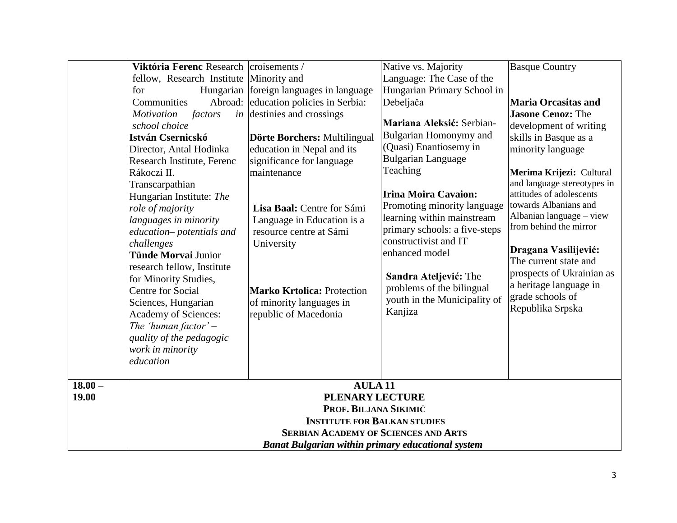|           | Viktória Ferenc Research croisements /<br>fellow, Research Institute Minority and<br>for<br>Abroad:<br>Communities<br><b>Motivation</b><br>factors<br>school choice<br>István Csernicskó<br>Director, Antal Hodinka<br>Research Institute, Ferenc<br>Rákoczi II.<br>Transcarpathian<br>Hungarian Institute: The<br>role of majority<br>languages in minority<br>education-potentials and<br>challenges<br><b>Tünde Morvai Junior</b><br>research fellow, Institute<br>for Minority Studies,<br>Centre for Social<br>Sciences, Hungarian<br><b>Academy of Sciences:</b><br>The 'human factor' $-$<br>quality of the pedagogic<br>work in minority<br>education | Hungarian foreign languages in language<br>education policies in Serbia:<br><i>in</i> destinies and crossings<br>Dörte Borchers: Multilingual<br>education in Nepal and its<br>significance for language<br>maintenance<br>Lisa Baal: Centre for Sámi<br>Language in Education is a<br>resource centre at Sámi<br>University<br><b>Marko Krtolica: Protection</b><br>of minority languages in<br>republic of Macedonia | Native vs. Majority<br>Language: The Case of the<br>Hungarian Primary School in<br>Debeljača<br>Mariana Aleksić: Serbian-<br>Bulgarian Homonymy and<br>(Quasi) Enantiosemy in<br><b>Bulgarian Language</b><br>Teaching<br><b>Irina Moira Cavaion:</b><br>Promoting minority language<br>learning within mainstream<br>primary schools: a five-steps<br>constructivist and IT<br>enhanced model<br>Sandra Ateljević: The<br>problems of the bilingual<br>youth in the Municipality of<br>Kanjiza | <b>Basque Country</b><br><b>Maria Orcasitas and</b><br><b>Jasone Cenoz: The</b><br>development of writing<br>skills in Basque as a<br>minority language<br>Merima Krijezi: Cultural<br>and language stereotypes in<br>attitudes of adolescents<br>towards Albanians and<br>Albanian language - view<br>from behind the mirror<br>Dragana Vasilijević:<br>The current state and<br>prospects of Ukrainian as<br>a heritage language in<br>grade schools of<br>Republika Srpska |  |
|-----------|---------------------------------------------------------------------------------------------------------------------------------------------------------------------------------------------------------------------------------------------------------------------------------------------------------------------------------------------------------------------------------------------------------------------------------------------------------------------------------------------------------------------------------------------------------------------------------------------------------------------------------------------------------------|------------------------------------------------------------------------------------------------------------------------------------------------------------------------------------------------------------------------------------------------------------------------------------------------------------------------------------------------------------------------------------------------------------------------|-------------------------------------------------------------------------------------------------------------------------------------------------------------------------------------------------------------------------------------------------------------------------------------------------------------------------------------------------------------------------------------------------------------------------------------------------------------------------------------------------|-------------------------------------------------------------------------------------------------------------------------------------------------------------------------------------------------------------------------------------------------------------------------------------------------------------------------------------------------------------------------------------------------------------------------------------------------------------------------------|--|
| $18.00 -$ |                                                                                                                                                                                                                                                                                                                                                                                                                                                                                                                                                                                                                                                               | <b>AULA11</b>                                                                                                                                                                                                                                                                                                                                                                                                          |                                                                                                                                                                                                                                                                                                                                                                                                                                                                                                 |                                                                                                                                                                                                                                                                                                                                                                                                                                                                               |  |
| 19.00     |                                                                                                                                                                                                                                                                                                                                                                                                                                                                                                                                                                                                                                                               | <b>PLENARY LECTURE</b>                                                                                                                                                                                                                                                                                                                                                                                                 |                                                                                                                                                                                                                                                                                                                                                                                                                                                                                                 |                                                                                                                                                                                                                                                                                                                                                                                                                                                                               |  |
|           |                                                                                                                                                                                                                                                                                                                                                                                                                                                                                                                                                                                                                                                               | PROF. BILJANA SIKIMIĆ<br><b>INSTITUTE FOR BALKAN STUDIES</b>                                                                                                                                                                                                                                                                                                                                                           |                                                                                                                                                                                                                                                                                                                                                                                                                                                                                                 |                                                                                                                                                                                                                                                                                                                                                                                                                                                                               |  |
|           | <b>SERBIAN ACADEMY OF SCIENCES AND ARTS</b>                                                                                                                                                                                                                                                                                                                                                                                                                                                                                                                                                                                                                   |                                                                                                                                                                                                                                                                                                                                                                                                                        |                                                                                                                                                                                                                                                                                                                                                                                                                                                                                                 |                                                                                                                                                                                                                                                                                                                                                                                                                                                                               |  |
|           |                                                                                                                                                                                                                                                                                                                                                                                                                                                                                                                                                                                                                                                               | <b>Banat Bulgarian within primary educational system</b>                                                                                                                                                                                                                                                                                                                                                               |                                                                                                                                                                                                                                                                                                                                                                                                                                                                                                 |                                                                                                                                                                                                                                                                                                                                                                                                                                                                               |  |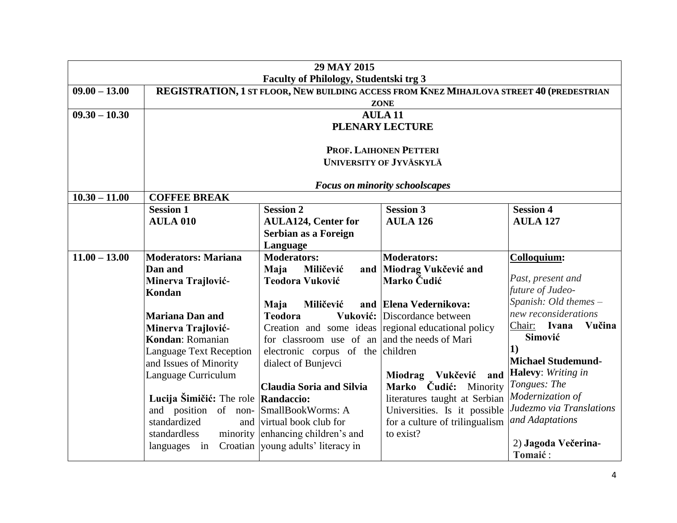|                 | 29 MAY 2015                                                                                                                        |                                                     |                                                        |                                                 |  |  |
|-----------------|------------------------------------------------------------------------------------------------------------------------------------|-----------------------------------------------------|--------------------------------------------------------|-------------------------------------------------|--|--|
| $09.00 - 13.00$ | Faculty of Philology, Studentski trg 3<br>REGISTRATION, 1 ST FLOOR, NEW BUILDING ACCESS FROM KNEZ MIHAJLOVA STREET 40 (PREDESTRIAN |                                                     |                                                        |                                                 |  |  |
|                 |                                                                                                                                    |                                                     | <b>ZONE</b>                                            |                                                 |  |  |
| $09.30 - 10.30$ | <b>AULA 11</b>                                                                                                                     |                                                     |                                                        |                                                 |  |  |
|                 | <b>PLENARY LECTURE</b>                                                                                                             |                                                     |                                                        |                                                 |  |  |
|                 |                                                                                                                                    |                                                     |                                                        |                                                 |  |  |
|                 |                                                                                                                                    |                                                     | PROF. LAIHONEN PETTERI                                 |                                                 |  |  |
|                 |                                                                                                                                    |                                                     | UNIVERSITY OF JYVÄSKYLÄ                                |                                                 |  |  |
|                 |                                                                                                                                    |                                                     | <b>Focus on minority schoolscapes</b>                  |                                                 |  |  |
| $10.30 - 11.00$ | <b>COFFEE BREAK</b>                                                                                                                |                                                     |                                                        |                                                 |  |  |
|                 | <b>Session 1</b>                                                                                                                   | <b>Session 2</b>                                    | <b>Session 3</b>                                       | <b>Session 4</b>                                |  |  |
|                 | <b>AULA 010</b>                                                                                                                    | <b>AULA124, Center for</b>                          | <b>AULA 126</b>                                        | <b>AULA 127</b>                                 |  |  |
|                 |                                                                                                                                    | Serbian as a Foreign                                |                                                        |                                                 |  |  |
|                 |                                                                                                                                    | Language                                            |                                                        |                                                 |  |  |
| $11.00 - 13.00$ | <b>Moderators: Mariana</b><br>Dan and                                                                                              | <b>Moderators:</b>                                  | <b>Moderators:</b>                                     | Colloquium:                                     |  |  |
|                 | Minerva Trajlović-                                                                                                                 | Maja<br>Miličević<br>Teodora Vuković                | and Miodrag Vukčević and<br>Marko Čudić                | Past, present and                               |  |  |
| Kondan          |                                                                                                                                    |                                                     |                                                        | future of Judeo-                                |  |  |
|                 |                                                                                                                                    | Maja<br>Miličević                                   | and Elena Vedernikova:                                 | Spanish: Old themes -                           |  |  |
|                 | <b>Mariana Dan and</b>                                                                                                             | <b>Teodora</b><br>Vuković:                          | Discordance between                                    | new reconsiderations                            |  |  |
|                 | Minerva Trajlović-                                                                                                                 | Creation and some ideas regional educational policy |                                                        | Chair: Ivana<br>Vučina                          |  |  |
|                 | Kondan: Romanian                                                                                                                   | for classroom use of an and the needs of Mari       |                                                        | Simović                                         |  |  |
|                 | <b>Language Text Reception</b>                                                                                                     | electronic corpus of the children                   |                                                        | $\vert 1)$                                      |  |  |
|                 | and Issues of Minority                                                                                                             | dialect of Bunjevci                                 |                                                        | <b>Michael Studemund-</b><br>Halevy: Writing in |  |  |
|                 | Language Curriculum                                                                                                                |                                                     | Miodrag Vukčević<br>and                                | Tongues: The                                    |  |  |
|                 | Lucija Šimičić: The role Randaccio:                                                                                                | <b>Claudia Soria and Silvia</b>                     | Marko Čudić: Minority<br>literatures taught at Serbian | Modernization of                                |  |  |
|                 | and position of non- SmallBookWorms: A                                                                                             |                                                     | Universities. Is it possible                           | Judezmo via Translations                        |  |  |
|                 | standardized                                                                                                                       | and virtual book club for                           | for a culture of trilingualism                         | and Adaptations                                 |  |  |
|                 | standardless                                                                                                                       | minority enhancing children's and                   | to exist?                                              |                                                 |  |  |
|                 | languages in                                                                                                                       | Croatian voung adults' literacy in                  |                                                        | 2) Jagoda Večerina-                             |  |  |
|                 |                                                                                                                                    |                                                     |                                                        | Tomaić:                                         |  |  |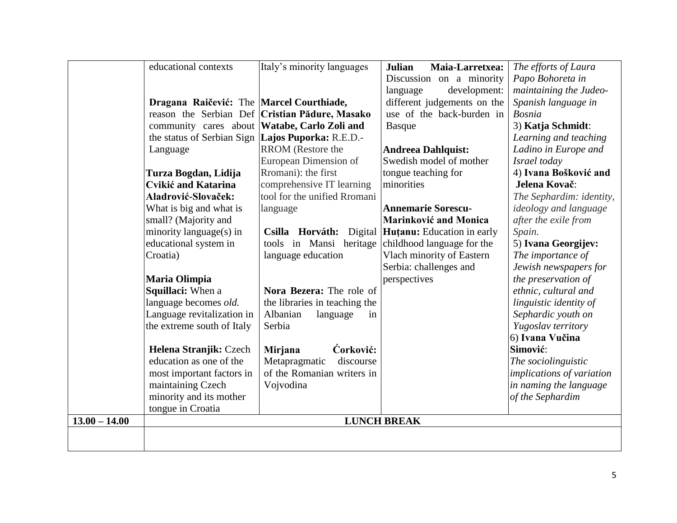|                 | educational contexts                              | Italy's minority languages                     | <b>Julian</b><br>Maia-Larretxea:                   | The efforts of Laura         |
|-----------------|---------------------------------------------------|------------------------------------------------|----------------------------------------------------|------------------------------|
|                 |                                                   |                                                | Discussion on a minority                           | Papo Bohoreta in             |
|                 |                                                   |                                                | development:<br>language                           | maintaining the Judeo-       |
|                 | Dragana Raičević: The Marcel Courthiade,          |                                                | different judgements on the                        | Spanish language in          |
|                 |                                                   | reason the Serbian Def Cristian Pădure, Masako | use of the back-burden in                          | <b>Bosnia</b>                |
|                 | community cares about Watabe, Carlo Zoli and      |                                                | <b>Basque</b>                                      | 3) Katja Schmidt:            |
|                 | the status of Serbian Sign Lajos Puporka: R.E.D.- |                                                |                                                    | Learning and teaching        |
|                 | Language                                          | RROM (Restore the                              | <b>Andreea Dahlquist:</b>                          | Ladino in Europe and         |
|                 |                                                   | European Dimension of                          | Swedish model of mother                            | Israel today                 |
|                 | Turza Bogdan, Lidija                              | Rromani): the first                            | tongue teaching for                                | 4) Ivana Bošković and        |
|                 | <b>Cvikić and Katarina</b>                        | comprehensive IT learning                      | minorities                                         | Jelena Kovač:                |
|                 | Aladrović-Slovaček:                               | tool for the unified Rromani                   |                                                    | The Sephardim: identity,     |
|                 | What is big and what is                           | language                                       | <b>Annemarie Sorescu-</b>                          | <i>ideology and language</i> |
|                 | small? (Majority and                              |                                                | Marinković and Monica                              | after the exile from         |
|                 | minority language(s) in                           |                                                | Csilla Horváth: Digital Hutanu: Education in early | Spain.                       |
|                 | educational system in                             | tools in Mansi heritage                        | childhood language for the                         | 5) Ivana Georgijev:          |
|                 | Croatia)                                          | language education                             | Vlach minority of Eastern                          | The importance of            |
|                 |                                                   |                                                | Serbia: challenges and                             | Jewish newspapers for        |
|                 | Maria Olimpia                                     |                                                | perspectives                                       | the preservation of          |
|                 | Squillaci: When a                                 | Nora Bezera: The role of                       |                                                    | ethnic, cultural and         |
|                 | language becomes old.                             | the libraries in teaching the                  |                                                    | linguistic identity of       |
|                 | Language revitalization in                        | Albanian<br>language<br>in                     |                                                    | Sephardic youth on           |
|                 | the extreme south of Italy                        | Serbia                                         |                                                    | Yugoslav territory           |
|                 |                                                   |                                                |                                                    | 6) Ivana Vučina              |
|                 | Helena Stranjik: Czech                            | Ćorković:<br>Mirjana                           |                                                    | Simović:                     |
|                 | education as one of the                           | Metapragmatic<br>discourse                     |                                                    | The sociolinguistic          |
|                 | most important factors in                         | of the Romanian writers in                     |                                                    | implications of variation    |
|                 | maintaining Czech                                 | Vojvodina                                      |                                                    | in naming the language       |
|                 | minority and its mother                           |                                                |                                                    | of the Sephardim             |
|                 | tongue in Croatia                                 |                                                |                                                    |                              |
| $13.00 - 14.00$ |                                                   |                                                | <b>LUNCH BREAK</b>                                 |                              |
|                 |                                                   |                                                |                                                    |                              |
|                 |                                                   |                                                |                                                    |                              |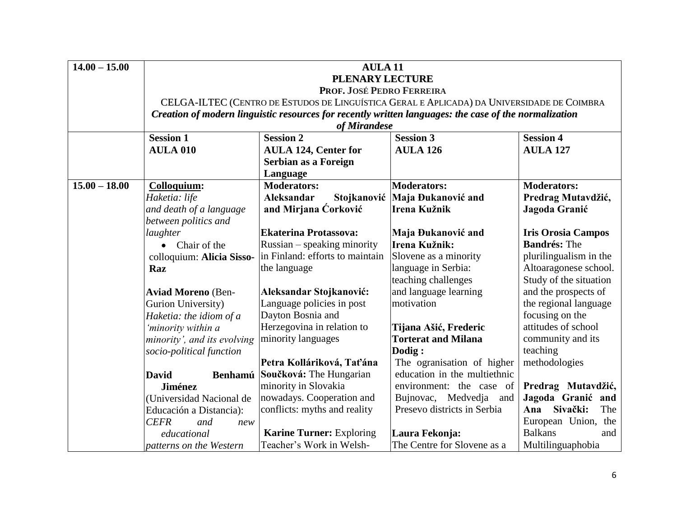| $14.00 - 15.00$ | <b>AULA11</b>                                                                              |                                                                                                       |                                                     |                                        |  |  |  |
|-----------------|--------------------------------------------------------------------------------------------|-------------------------------------------------------------------------------------------------------|-----------------------------------------------------|----------------------------------------|--|--|--|
|                 | <b>PLENARY LECTURE</b>                                                                     |                                                                                                       |                                                     |                                        |  |  |  |
|                 | PROF. JOSÉ PEDRO FERREIRA                                                                  |                                                                                                       |                                                     |                                        |  |  |  |
|                 | CELGA-ILTEC (CENTRO DE ESTUDOS DE LINGUÍSTICA GERAL E APLICADA) DA UNIVERSIDADE DE COIMBRA |                                                                                                       |                                                     |                                        |  |  |  |
|                 |                                                                                            | Creation of modern linguistic resources for recently written languages: the case of the normalization |                                                     |                                        |  |  |  |
|                 |                                                                                            | of Mirandese                                                                                          |                                                     |                                        |  |  |  |
|                 | <b>Session 1</b>                                                                           | <b>Session 4</b>                                                                                      |                                                     |                                        |  |  |  |
|                 | <b>AULA 010</b>                                                                            | <b>AULA 124, Center for</b>                                                                           | <b>AULA 126</b>                                     | <b>AULA 127</b>                        |  |  |  |
|                 |                                                                                            | Serbian as a Foreign                                                                                  |                                                     |                                        |  |  |  |
|                 |                                                                                            | Language                                                                                              |                                                     |                                        |  |  |  |
| $15.00 - 18.00$ | Colloquium:                                                                                | <b>Moderators:</b>                                                                                    | <b>Moderators:</b>                                  | <b>Moderators:</b>                     |  |  |  |
|                 | Haketia: life                                                                              | Aleksandar<br>Stojkanović                                                                             | Maja Đukanović and                                  | Predrag Mutavdžić,                     |  |  |  |
|                 | and death of a language                                                                    | and Mirjana Ćorković                                                                                  | Irena Kužnik                                        | Jagoda Granić                          |  |  |  |
|                 | between politics and                                                                       |                                                                                                       |                                                     |                                        |  |  |  |
|                 | laughter                                                                                   | <b>Ekaterina Protassova:</b>                                                                          | Maja Đukanović and                                  | <b>Iris Orosia Campos</b>              |  |  |  |
|                 | • Chair of the                                                                             | Russian – speaking minority                                                                           | Irena Kužnik:                                       | <b>Bandrés: The</b>                    |  |  |  |
|                 | colloquium: Alicia Sisso-                                                                  | in Finland: efforts to maintain                                                                       | Slovene as a minority                               | plurilingualism in the                 |  |  |  |
|                 | Raz                                                                                        | the language                                                                                          | language in Serbia:                                 | Altoaragonese school.                  |  |  |  |
|                 |                                                                                            |                                                                                                       | teaching challenges                                 | Study of the situation                 |  |  |  |
|                 | <b>Aviad Moreno (Ben-</b>                                                                  | Aleksandar Stojkanović:                                                                               | and language learning                               | and the prospects of                   |  |  |  |
|                 | Gurion University)                                                                         | Language policies in post                                                                             | motivation                                          | the regional language                  |  |  |  |
|                 | Haketia: the idiom of a                                                                    | Dayton Bosnia and                                                                                     |                                                     | focusing on the<br>attitudes of school |  |  |  |
|                 | 'minority within a                                                                         | Herzegovina in relation to<br>minority languages                                                      | Tijana Ašić, Frederic<br><b>Torterat and Milana</b> | community and its                      |  |  |  |
|                 | minority', and its evolving<br>socio-political function                                    |                                                                                                       | Dodig:                                              | teaching                               |  |  |  |
|                 |                                                                                            | Petra Kolláriková, Taťána                                                                             | The ogranisation of higher                          | methodologies                          |  |  |  |
|                 | <b>David</b>                                                                               | Benhamú Součková: The Hungarian                                                                       | education in the multiethnic                        |                                        |  |  |  |
|                 | <b>Jiménez</b>                                                                             | minority in Slovakia                                                                                  | environment: the case of                            | Predrag Mutavdžić,                     |  |  |  |
|                 | (Universidad Nacional de                                                                   | nowadays. Cooperation and                                                                             | Bujnovac, Medvedja<br>and                           | Jagoda Granić and                      |  |  |  |
|                 | Educación a Distancia):                                                                    | conflicts: myths and reality                                                                          | Presevo districts in Serbia                         | Sivački:<br>The<br>Ana                 |  |  |  |
|                 | <b>CEFR</b><br>and<br>new                                                                  |                                                                                                       |                                                     | European Union, the                    |  |  |  |
|                 | educational                                                                                | <b>Karine Turner: Exploring</b>                                                                       | Laura Fekonja:                                      | <b>Balkans</b><br>and                  |  |  |  |
|                 | patterns on the Western                                                                    | Teacher's Work in Welsh-                                                                              | The Centre for Slovene as a                         | Multilinguaphobia                      |  |  |  |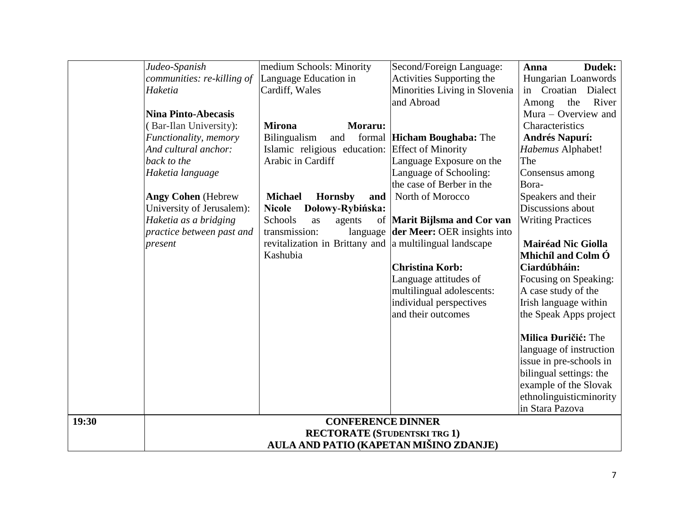|       | Judeo-Spanish              | medium Schools: Minority                                | Second/Foreign Language:                    | Dudek:<br>Anna            |
|-------|----------------------------|---------------------------------------------------------|---------------------------------------------|---------------------------|
|       | communities: re-killing of | Language Education in                                   | Activities Supporting the                   | Hungarian Loanwords       |
|       | Haketia                    | Cardiff, Wales                                          | Minorities Living in Slovenia               | Dialect<br>Croatian<br>in |
|       |                            |                                                         | and Abroad                                  | River<br>the<br>Among     |
|       | <b>Nina Pinto-Abecasis</b> |                                                         |                                             | Mura – Overview and       |
|       | (Bar-Ilan University):     | <b>Mirona</b><br>Moraru:                                |                                             | Characteristics           |
|       | Functionality, memory      | <b>Bilingualism</b><br>and                              | formal Hicham Boughaba: The                 | <b>Andrés Napurí:</b>     |
|       | And cultural anchor:       | Islamic religious education: Effect of Minority         |                                             | Habemus Alphabet!         |
|       | back to the                | Arabic in Cardiff                                       | Language Exposure on the                    | The                       |
|       | Haketia language           |                                                         | Language of Schooling:                      | Consensus among           |
|       |                            |                                                         | the case of Berber in the                   | Bora-                     |
|       | <b>Angy Cohen</b> (Hebrew  | <b>Michael</b><br><b>Hornsby</b><br>and                 | North of Morocco                            | Speakers and their        |
|       | University of Jerusalem):  | <b>Nicole</b><br>Dołowy-Rybińska:                       |                                             | Discussions about         |
|       | Haketia as a bridging      | Schools<br>as<br>agents                                 | of Marit Bijlsma and Cor van                | <b>Writing Practices</b>  |
|       | practice between past and  | transmission:                                           | language <b>der Meer:</b> OER insights into |                           |
|       | present                    | revitalization in Brittany and a multilingual landscape |                                             | <b>Mairéad Nic Giolla</b> |
|       |                            | Kashubia                                                |                                             | Mhichíl and Colm Ó        |
|       |                            |                                                         | <b>Christina Korb:</b>                      | Ciardúbháin:              |
|       |                            |                                                         | Language attitudes of                       | Focusing on Speaking:     |
|       |                            |                                                         | multilingual adolescents:                   | A case study of the       |
|       |                            |                                                         | individual perspectives                     | Irish language within     |
|       |                            |                                                         | and their outcomes                          | the Speak Apps project    |
|       |                            |                                                         |                                             | Milica Đuričić: The       |
|       |                            |                                                         |                                             | language of instruction   |
|       |                            |                                                         |                                             | issue in pre-schools in   |
|       |                            |                                                         |                                             | bilingual settings: the   |
|       |                            |                                                         |                                             | example of the Slovak     |
|       |                            |                                                         |                                             | ethnolinguisticminority   |
|       |                            |                                                         |                                             | in Stara Pazova           |
| 19:30 |                            | <b>CONFERENCE DINNER</b>                                |                                             |                           |
|       |                            | <b>RECTORATE (STUDENTSKI TRG 1)</b>                     |                                             |                           |
|       |                            | AULA AND PATIO (KAPETAN MIŠINO ZDANJE)                  |                                             |                           |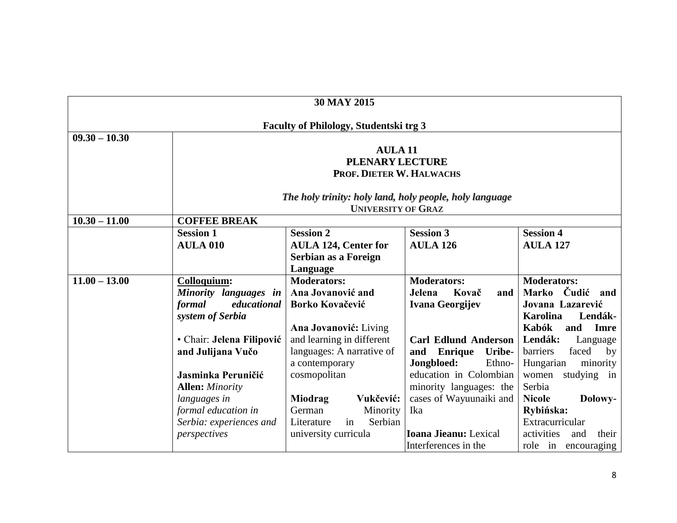| <b>30 MAY 2015</b> |                                               |                                                         |                                 |                                     |  |
|--------------------|-----------------------------------------------|---------------------------------------------------------|---------------------------------|-------------------------------------|--|
|                    | <b>Faculty of Philology, Studentski trg 3</b> |                                                         |                                 |                                     |  |
| $09.30 - 10.30$    |                                               |                                                         |                                 |                                     |  |
|                    |                                               | <b>AULA 11</b>                                          |                                 |                                     |  |
|                    |                                               | <b>PLENARY LECTURE</b>                                  |                                 |                                     |  |
|                    |                                               | PROF, DIETER W. HALWACHS                                |                                 |                                     |  |
|                    |                                               | The holy trinity: holy land, holy people, holy language |                                 |                                     |  |
|                    |                                               | <b>UNIVERSITY OF GRAZ</b>                               |                                 |                                     |  |
| $10.30 - 11.00$    | <b>COFFEE BREAK</b>                           |                                                         |                                 |                                     |  |
|                    | <b>Session 1</b>                              | <b>Session 2</b>                                        | <b>Session 3</b>                | <b>Session 4</b>                    |  |
|                    | <b>AULA 010</b>                               | <b>AULA 124, Center for</b>                             | <b>AULA 126</b>                 | <b>AULA 127</b>                     |  |
|                    |                                               | Serbian as a Foreign                                    |                                 |                                     |  |
|                    |                                               | Language                                                |                                 |                                     |  |
| $11.00 - 13.00$    | Colloquium:                                   | <b>Moderators:</b>                                      | <b>Moderators:</b>              | <b>Moderators:</b>                  |  |
|                    | Minority languages in                         | Ana Jovanović and                                       | Kovač<br>Jelena<br>and          | Marko Čudić and                     |  |
|                    | educational<br>formal                         | Borko Kovačević                                         | Ivana Georgijev                 | Jovana Lazarević                    |  |
|                    | system of Serbia                              |                                                         |                                 | <b>Karolina</b><br>Lendák-          |  |
|                    | • Chair: Jelena Filipović                     | Ana Jovanović: Living<br>and learning in different      | <b>Carl Edlund Anderson</b>     | Kabók<br>and<br>Imre<br>Lendák:     |  |
|                    | and Julijana Vučo                             | languages: A narrative of                               | <b>Enrique</b><br>Uribe-<br>and | Language<br>faced<br>barriers<br>by |  |
|                    |                                               | a contemporary                                          | Jongbloed:<br>Ethno-            | Hungarian<br>minority               |  |
|                    | Jasminka Peruničić                            | cosmopolitan                                            | education in Colombian          | women<br>studying in                |  |
|                    | <b>Allen:</b> Minority                        |                                                         | minority languages: the         | Serbia                              |  |
|                    | languages in                                  | <b>Miodrag</b><br>Vukčević:                             | cases of Wayuunaiki and         | <b>Nicole</b><br>Dołowy-            |  |
|                    | formal education in                           | German<br>Minority                                      | Ika                             | Rybińska:                           |  |
|                    | Serbia: experiences and                       | Serbian<br>Literature<br>in                             |                                 | Extracurricular                     |  |
|                    | perspectives                                  | university curricula                                    | Ioana Jieanu: Lexical           | activities<br>and<br>their          |  |
|                    |                                               |                                                         | Interferences in the            | role in encouraging                 |  |